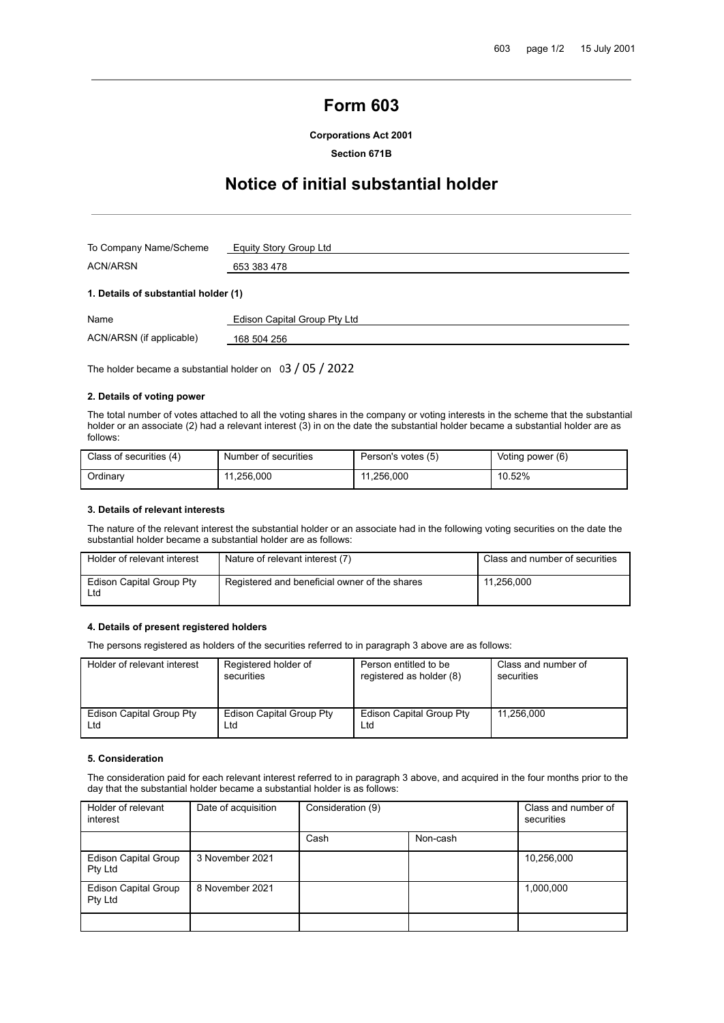# **Form 603**

**Corporations Act 2001**

**Section 671B**

# **Notice of initial substantial holder**

| To Company Name/Scheme | Equity Story Group Ltd |  |
|------------------------|------------------------|--|
| <b>ACN/ARSN</b>        | 653 383 478            |  |
|                        |                        |  |

## **1. Details of substantial holder (1)**

| Name                     | Edison Capital Group Pty Ltd |
|--------------------------|------------------------------|
| ACN/ARSN (if applicable) | 168 504 256                  |

The holder became a substantial holder on 03 / 05 / 2022

## **2. Details of voting power**

The total number of votes attached to all the voting shares in the company or voting interests in the scheme that the substantial holder or an associate (2) had a relevant interest (3) in on the date the substantial holder became a substantial holder are as follows:

| Class of securities (4) | Number of securities | Person's votes (5) | Voting power (6) |
|-------------------------|----------------------|--------------------|------------------|
| Ordinarv                | 11.256.000           | 11.256.000<br>-11  | 10.52%           |

### **3. Details of relevant interests**

The nature of the relevant interest the substantial holder or an associate had in the following voting securities on the date the substantial holder became a substantial holder are as follows:

| Holder of relevant interest     | Nature of relevant interest (7)               | Class and number of securities |
|---------------------------------|-----------------------------------------------|--------------------------------|
| Edison Capital Group Pty<br>Ltd | Registered and beneficial owner of the shares | 11,256,000                     |

#### **4. Details of present registered holders**

The persons registered as holders of the securities referred to in paragraph 3 above are as follows:

| Holder of relevant interest | Registered holder of     | Person entitled to be           | Class and number of |
|-----------------------------|--------------------------|---------------------------------|---------------------|
|                             | securities               | registered as holder (8)        | securities          |
| Edison Capital Group Pty    | Edison Capital Group Pty | <b>Edison Capital Group Pty</b> | 11.256.000          |
| Ltd                         | Ltd                      | Ltd                             |                     |

#### **5. Consideration**

The consideration paid for each relevant interest referred to in paragraph 3 above, and acquired in the four months prior to the day that the substantial holder became a substantial holder is as follows:

| Holder of relevant<br>interest         | Date of acquisition | Consideration (9) |          | Class and number of<br>securities |
|----------------------------------------|---------------------|-------------------|----------|-----------------------------------|
|                                        |                     | Cash              | Non-cash |                                   |
| <b>Edison Capital Group</b><br>Pty Ltd | 3 November 2021     |                   |          | 10,256,000                        |
| Edison Capital Group<br>Pty Ltd        | 8 November 2021     |                   |          | 1,000,000                         |
|                                        |                     |                   |          |                                   |